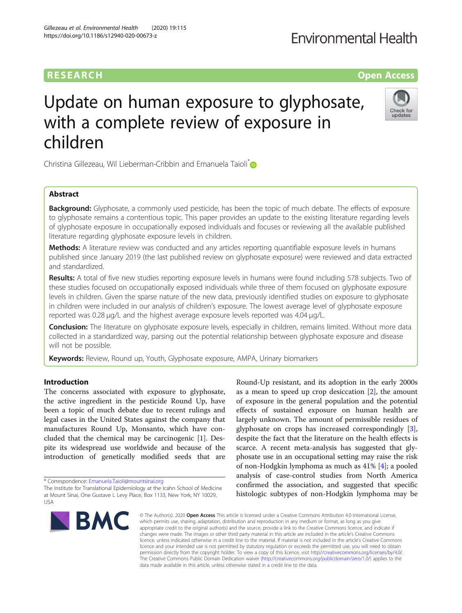## **RESEARCH CHINESEARCH CHINESEARCH CHINESE**

# Update on human exposure to glyphosate, with a complete review of exposure in children

Christina Gillezeau, Wil Lieberman-Cribbin and Emanuela Taioli<sup>[\\*](http://orcid.org/0000-0001-6930-1635)</sup>

## Abstract

**Background:** Glyphosate, a commonly used pesticide, has been the topic of much debate. The effects of exposure to glyphosate remains a contentious topic. This paper provides an update to the existing literature regarding levels of glyphosate exposure in occupationally exposed individuals and focuses or reviewing all the available published literature regarding glyphosate exposure levels in children.

Methods: A literature review was conducted and any articles reporting quantifiable exposure levels in humans published since January 2019 (the last published review on glyphosate exposure) were reviewed and data extracted and standardized.

Results: A total of five new studies reporting exposure levels in humans were found including 578 subjects. Two of these studies focused on occupationally exposed individuals while three of them focused on glyphosate exposure levels in children. Given the sparse nature of the new data, previously identified studies on exposure to glyphosate in children were included in our analysis of children's exposure. The lowest average level of glyphosate exposure reported was 0.28 μg/L and the highest average exposure levels reported was 4.04 μg/L.

Conclusion: The literature on glyphosate exposure levels, especially in children, remains limited. Without more data collected in a standardized way, parsing out the potential relationship between glyphosate exposure and disease will not be possible.

Keywords: Review, Round up, Youth, Glyphosate exposure, AMPA, Urinary biomarkers

## Introduction

The concerns associated with exposure to glyphosate, the active ingredient in the pesticide Round Up, have been a topic of much debate due to recent rulings and legal cases in the United States against the company that manufactures Round Up, Monsanto, which have concluded that the chemical may be carcinogenic [\[1](#page-6-0)]. Despite its widespread use worldwide and because of the introduction of genetically modified seeds that are

\* Correspondence: [Emanuela.Taioli@mountsinai.org](mailto:Emanuela.Taioli@mountsinai.org)

BMC

© The Author(s), 2020 **Open Access** This article is licensed under a Creative Commons Attribution 4.0 International License, which permits use, sharing, adaptation, distribution and reproduction in any medium or format, as long as you give appropriate credit to the original author(s) and the source, provide a link to the Creative Commons licence, and indicate if changes were made. The images or other third party material in this article are included in the article's Creative Commons licence, unless indicated otherwise in a credit line to the material. If material is not included in the article's Creative Commons licence and your intended use is not permitted by statutory regulation or exceeds the permitted use, you will need to obtain permission directly from the copyright holder. To view a copy of this licence, visit [http://creativecommons.org/licenses/by/4.0/.](http://creativecommons.org/licenses/by/4.0/) The Creative Commons Public Domain Dedication waiver [\(http://creativecommons.org/publicdomain/zero/1.0/](http://creativecommons.org/publicdomain/zero/1.0/)) applies to the data made available in this article, unless otherwise stated in a credit line to the data.

Round-Up resistant, and its adoption in the early 2000s as a mean to speed up crop desiccation  $[2]$  $[2]$ , the amount of exposure in the general population and the potential effects of sustained exposure on human health are largely unknown. The amount of permissible residues of glyphosate on crops has increased correspondingly [\[3](#page-6-0)], despite the fact that the literature on the health effects is scarce. A recent meta-analysis has suggested that glyphosate use in an occupational setting may raise the risk of non-Hodgkin lymphoma as much as 41% [[4](#page-6-0)]; a pooled analysis of case-control studies from North America confirmed the association, and suggested that specific histologic subtypes of non-Hodgkin lymphoma may be





The Institute for Translational Epidemiology at the Icahn School of Medicine at Mount Sinai, One Gustave L Levy Place, Box 1133, New York, NY 10029, USA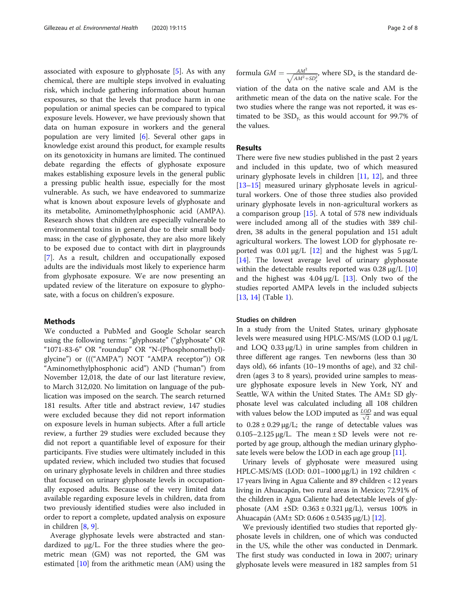associated with exposure to glyphosate  $[5]$ . As with any chemical, there are multiple steps involved in evaluating risk, which include gathering information about human exposures, so that the levels that produce harm in one population or animal species can be compared to typical exposure levels. However, we have previously shown that data on human exposure in workers and the general population are very limited [[6\]](#page-6-0). Several other gaps in knowledge exist around this product, for example results on its genotoxicity in humans are limited. The continued debate regarding the effects of glyphosate exposure makes establishing exposure levels in the general public a pressing public health issue, especially for the most vulnerable. As such, we have endeavored to summarize what is known about exposure levels of glyphosate and its metabolite, Aminomethylphosphonic acid (AMPA). Research shows that children are especially vulnerable to environmental toxins in general due to their small body mass; in the case of glyphosate, they are also more likely to be exposed due to contact with dirt in playgrounds [[7\]](#page-6-0). As a result, children and occupationally exposed adults are the individuals most likely to experience harm from glyphosate exposure. We are now presenting an updated review of the literature on exposure to glyphosate, with a focus on children's exposure.

## Methods

We conducted a PubMed and Google Scholar search using the following terms: "glyphosate" ("glyphosate" OR "1071-83-6" OR "roundup" OR "N-(Phosphonomethyl) glycine") or ((("AMPA") NOT "AMPA receptor")) OR "Aminomethylphosphonic acid") AND ("human") from November 12,018, the date of our last literature review, to March 312,020. No limitation on language of the publication was imposed on the search. The search returned 181 results. After title and abstract review, 147 studies were excluded because they did not report information on exposure levels in human subjects. After a full article review, a further 29 studies were excluded because they did not report a quantifiable level of exposure for their participants. Five studies were ultimately included in this updated review, which included two studies that focused on urinary glyphosate levels in children and three studies that focused on urinary glyphosate levels in occupationally exposed adults. Because of the very limited data available regarding exposure levels in children, data from two previously identified studies were also included in order to report a complete, updated analysis on exposure in children [\[8](#page-6-0), [9](#page-6-0)].

Average glyphosate levels were abstracted and standardized to μg/L. For the three studies where the geometric mean (GM) was not reported, the GM was estimated [\[10](#page-7-0)] from the arithmetic mean (AM) using the

formula  $GM = \frac{AM^2}{\sqrt{AM^2 + SD^2}}$  $\frac{AM^2}{\sqrt{AM^2+SD_y^2}}$ , where SD<sub>x</sub> is the standard deviation of the data on the native scale and AM is the arithmetic mean of the data on the native scale. For the two studies where the range was not reported, it was estimated to be  $3SD_y$ , as this would account for 99.7% of the values.

## Results

There were five new studies published in the past 2 years and included in this update, two of which measured urinary glyphosate levels in children [[11,](#page-7-0) [12](#page-7-0)], and three [[13](#page-7-0)–[15](#page-7-0)] measured urinary glyphosate levels in agricultural workers. One of those three studies also provided urinary glyphosate levels in non-agricultural workers as a comparison group [\[15](#page-7-0)]. A total of 578 new individuals were included among all of the studies with 389 children, 38 adults in the general population and 151 adult agricultural workers. The lowest LOD for glyphosate reported was  $0.01 \mu g/L$  [[12](#page-7-0)] and the highest was  $5 \mu g/L$ [[14\]](#page-7-0). The lowest average level of urinary glyphosate within the detectable results reported was  $0.28 \mu g/L$  [[10](#page-7-0)] and the highest was  $4.04 \mu g/L$  [\[13](#page-7-0)]. Only two of the studies reported AMPA levels in the included subjects [[13,](#page-7-0) [14\]](#page-7-0) (Table [1\)](#page-2-0).

## Studies on children

In a study from the United States, urinary glyphosate levels were measured using HPLC-MS/MS (LOD 0.1 μg/L and LOQ 0.33 μg/L) in urine samples from children in three different age ranges. Ten newborns (less than 30 days old), 66 infants (10–19 months of age), and 32 children (ages 3 to 8 years), provided urine samples to measure glyphosate exposure levels in New York, NY and Seattle, WA within the United States. The AM± SD glyphosate level was calculated including all 108 children with values below the LOD imputed as  $\frac{LOD}{\sqrt{2}}$  and was equal to  $0.28 \pm 0.29 \,\mu g/L$ ; the range of detectable values was 0.105–2.125 μg/L. The mean ± SD levels were not reported by age group, although the median urinary glyphosate levels were below the LOD in each age group [\[11\]](#page-7-0).

Urinary levels of glyphosate were measured using HPLC-MS/MS (LOD: 0.01–1000 μg/L) in 192 children < 17 years living in Agua Caliente and 89 children < 12 years living in Ahuacapán, two rural areas in Mexico; 72.91% of the children in Agua Caliente had detectable levels of glyphosate (AM  $\pm$ SD: 0.363  $\pm$  0.321 μg/L), versus 100% in Ahuacapán (AM± SD: 0.606 ± 0.5435 μg/L) [[12](#page-7-0)].

We previously identified two studies that reported glyphosate levels in children, one of which was conducted in the US, while the other was conducted in Denmark. The first study was conducted in Iowa in 2007; urinary glyphosate levels were measured in 182 samples from 51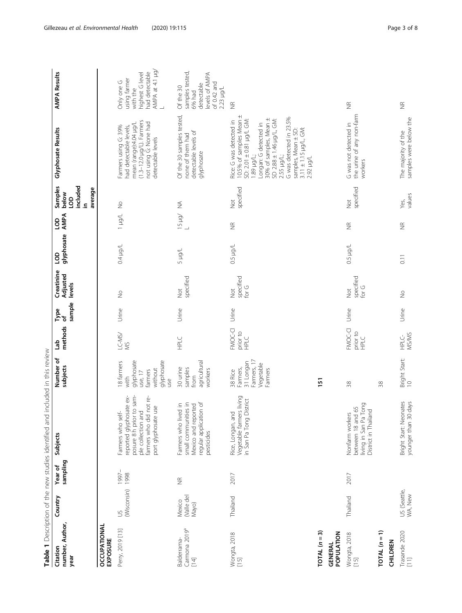<span id="page-2-0"></span>

|                                                                                                                                                                                                                                                                                                                                                                                                                                                             |                              |                     | Table 1 Description of the new studies identified and included in this review                                                                   |                                                                                        |                             |                     |                                  |                               |                    |                                                                 |                                                                                                                                                                                                                                                                                          |                                                                                                     |
|-------------------------------------------------------------------------------------------------------------------------------------------------------------------------------------------------------------------------------------------------------------------------------------------------------------------------------------------------------------------------------------------------------------------------------------------------------------|------------------------------|---------------------|-------------------------------------------------------------------------------------------------------------------------------------------------|----------------------------------------------------------------------------------------|-----------------------------|---------------------|----------------------------------|-------------------------------|--------------------|-----------------------------------------------------------------|------------------------------------------------------------------------------------------------------------------------------------------------------------------------------------------------------------------------------------------------------------------------------------------|-----------------------------------------------------------------------------------------------------|
| number, Author,<br>Citation<br>year                                                                                                                                                                                                                                                                                                                                                                                                                         | Country                      | sampling<br>Year of | Subjects                                                                                                                                        | Number of<br>subjects                                                                  | methods<br>de<br>D          | sample<br>Type<br>৳ | Creatinine<br>Adjusted<br>levels | glyphosate AMPA<br><b>GOT</b> | <b>GOT</b>         | included<br>Samples<br>average<br>below<br>9 <sub>O</sub><br>ءِ | Glyphosate Results                                                                                                                                                                                                                                                                       | <b>AMPA Results</b>                                                                                 |
| <b>OCCUPATIONAL</b><br>EXPOSURE                                                                                                                                                                                                                                                                                                                                                                                                                             |                              |                     |                                                                                                                                                 |                                                                                        |                             |                     |                                  |                               |                    |                                                                 |                                                                                                                                                                                                                                                                                          |                                                                                                     |
| Perry, 2019 [13]                                                                                                                                                                                                                                                                                                                                                                                                                                            | (Wisconsin) 1998<br>$\leq$   | 1997-               | posure 8h prior to sam-<br>reported glyphosate ex-<br>farmers who did not re-<br>port glyphosate use<br>ple collection and<br>Farmers who self- | glyphosate<br>glyphosate<br>18 farmers<br>without<br>farmers<br>use, 17<br>with<br>use | $LC-MS/$<br>$\frac{1}{2}$   | Urine               | $\frac{1}{2}$                    | $1$ /bri $+0$                 | Trait I            | $\frac{1}{2}$                                                   | $(1.3-12.0 \mu g/L)$ . Farmers<br>not using G: None had<br>detectable levels<br>mean (range):4.04 µg/L<br>Farmers using G: 39%<br>had detectable levels,                                                                                                                                 | AMPA at 4.1 µg/<br>L<br>had detectable<br>highest G level<br>using farmer<br>Only one G<br>with the |
| Carmona 2019 <sup>a</sup><br>Balderrama-<br>$[14]$                                                                                                                                                                                                                                                                                                                                                                                                          | Valle del<br>Mexico<br>Mayo) | $\frac{\alpha}{2}$  | regular application of<br>small communities in<br>Farmers who lived in<br>Mexico and reported<br>pesticides                                     | agricultural<br>30 urine<br>samples<br>workers<br>from                                 | HPLC                        | Urine               | specified<br>Not                 | Tron 5                        | $\frac{15}{4}$ Hg/ | $\widetilde{\geq}$                                              | Of the 30 samples tested,<br>detectable levels of<br>none of them had<br>glyphosate                                                                                                                                                                                                      | samples tested,<br>levels of AMPA<br>of 0.42 and<br>detectable<br>Of the 30<br>2.23 µg/L<br>6% had  |
| Wongta, 2018<br>[15]                                                                                                                                                                                                                                                                                                                                                                                                                                        | Thailand                     | 2017                | Vegetable farmers living<br>in San Pa Tong District<br>Rice, Longan, and                                                                        | Farmers, 17<br>31 Longan<br>Vegetable<br>Farmers,<br>Farmers<br>38 Rice                | FMOC-CI<br>prior to<br>HPLC | Urine               | specified<br>for G<br>ğ          | 1/pu 5.0                      | $\widetilde{\Xi}$  | specified<br><b>S</b>                                           | 10.5% of samples Mean ±<br>G was detected in 23.5%<br>30% of samples, Mean ±<br>SD: 2.01 ± 0.81 µg/L GM:<br>SD 2.88 ± 1.46 µg/L, GM:<br>Rice: G was detected in<br>Longan: G detected in<br>$3.11 \pm 1.15 \mu g/L$ , GM:<br>samples, Mean ± SD:<br>: 1/6h 68<br>2.55 µg/L;<br>2.92 µg/L | $\frac{\alpha}{2}$                                                                                  |
| $\begin{array}{c}\n\text{Total} & (n = 3) \\ \end{array}$<br>POPULATION<br>GENERAL                                                                                                                                                                                                                                                                                                                                                                          |                              |                     |                                                                                                                                                 | $\overline{151}$                                                                       |                             |                     |                                  |                               |                    |                                                                 |                                                                                                                                                                                                                                                                                          |                                                                                                     |
| Wongta, 2018<br>[15]                                                                                                                                                                                                                                                                                                                                                                                                                                        | Thailand                     | 2017                | living in San Pa Tong<br>between 18 and 65<br>District in Thailand<br>Nonfarm workers                                                           | 38                                                                                     | FMOC-CI<br>prior to<br>HPLC | Urine               | specified<br>for G<br>Not        | J/brl 50                      | $\widetilde{\Xi}$  | specified<br><b>S</b>                                           | the urine of any non-farm<br>G was not detected in<br>workers                                                                                                                                                                                                                            | $\frac{\alpha}{2}$                                                                                  |
| $\begin{array}{c}\n\text{Total} & \text{[a]} \\ \text{Total} & \text{[b]} \\ \text{Total} & \text{[c]} \\ \text{Total} & \text{[d]} \\ \text{Total} & \text{[e]} \\ \text{Total} & \text{[f]} \\ \text{Total} & \text{[f]} \\ \text{Total} & \text{[f]} \\ \text{Total} & \text{[f]} \\ \text{Total} & \text{[f]} \\ \text{Total} & \text{[f]} \\ \text{Total} & \text{[f]} \\ \text{Total} & \text{[f]} \\ \text{Total} & \text{[f]} \\ \text$<br>CHILDREN |                              |                     |                                                                                                                                                 | 38                                                                                     |                             |                     |                                  |                               |                    |                                                                 |                                                                                                                                                                                                                                                                                          |                                                                                                     |
| Trasande 2020<br>$\Xi$                                                                                                                                                                                                                                                                                                                                                                                                                                      | US (Seattle,<br>WA, New      |                     | Bright Start: Neonates<br>younger than 30 days                                                                                                  | Bright Start:<br>10                                                                    | MS/MS<br>HPLC-              | Urine               | $\geqq$                          | $\overline{0}$ .11            | $\frac{\alpha}{2}$ | values<br>Yes,                                                  | samples were below the<br>The majority of the                                                                                                                                                                                                                                            | $\frac{\alpha}{2}$                                                                                  |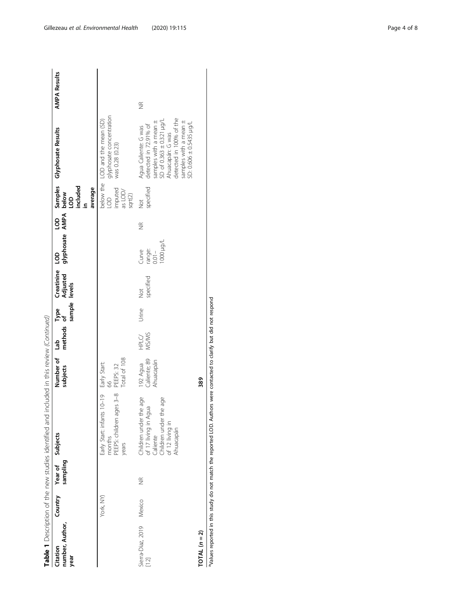| Early Start: infants 10-19 Early Start:<br>months | sampling                                                                                                             | Country Year of Subjects |
|---------------------------------------------------|----------------------------------------------------------------------------------------------------------------------|--------------------------|
|                                                   | Children under the age<br>Caliente<br>Children under the age<br>of 17 living in Agua<br>of 12 living in<br>Ahuacapán |                          |

**TOTAL** ( $n = 2$ )<br>
<sup>389</sup> Note: reported in this study do not match the reported LOD. Authors were contacted to clarify but did not respond TOTAL (n = 2) 389

aValues reported in this study do not match the reported LOD. Authors were contacted to clarify but did not respond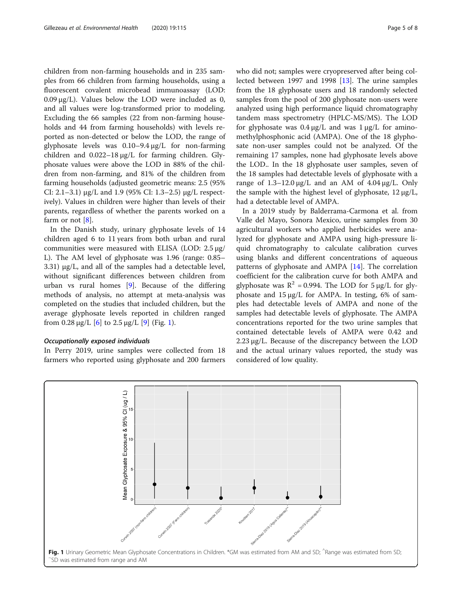children from non-farming households and in 235 samples from 66 children from farming households, using a fluorescent covalent microbead immunoassay (LOD:  $0.09 \mu g/L$ ). Values below the LOD were included as 0, and all values were log-transformed prior to modeling. Excluding the 66 samples (22 from non-farming households and 44 from farming households) with levels reported as non-detected or below the LOD, the range of glyphosate levels was 0.10–9.4 μg/L for non-farming children and 0.022–18 μg/L for farming children. Glyphosate values were above the LOD in 88% of the children from non-farming, and 81% of the children from farming households (adjusted geometric means: 2.5 (95% CI: 2.1–3.1) μg/L and 1.9 (95% CI: 1.3–2.5) μg/L respectively). Values in children were higher than levels of their parents, regardless of whether the parents worked on a farm or not  $[8]$  $[8]$ .

In the Danish study, urinary glyphosate levels of 14 children aged 6 to 11 years from both urban and rural communities were measured with ELISA (LOD: 2.5 μg/ L). The AM level of glyphosate was 1.96 (range: 0.85– 3.31) μg/L, and all of the samples had a detectable level, without significant differences between children from urban vs rural homes [[9](#page-6-0)]. Because of the differing methods of analysis, no attempt at meta-analysis was completed on the studies that included children, but the average glyphosate levels reported in children ranged from 0.28  $\mu$ g/L [[6](#page-6-0)] to 2.5  $\mu$ g/L [[9\]](#page-6-0) (Fig. 1).

## Occupationally exposed individuals

In Perry 2019, urine samples were collected from 18 farmers who reported using glyphosate and 200 farmers who did not; samples were cryopreserved after being collected between 1997 and 1998 [[13\]](#page-7-0). The urine samples from the 18 glyphosate users and 18 randomly selected samples from the pool of 200 glyphosate non-users were analyzed using high performance liquid chromatography tandem mass spectrometry (HPLC-MS/MS). The LOD for glyphosate was 0.4 μg/L and was 1 μg/L for aminomethylphosphonic acid (AMPA). One of the 18 glyphosate non-user samples could not be analyzed. Of the remaining 17 samples, none had glyphosate levels above the LOD.. In the 18 glyphosate user samples, seven of the 18 samples had detectable levels of glyphosate with a range of  $1.3-12.0 \mu$ g/L and an AM of  $4.04 \mu$ g/L. Only the sample with the highest level of glyphosate, 12 μg/L, had a detectable level of AMPA.

In a 2019 study by Balderrama-Carmona et al. from Valle del Mayo, Sonora Mexico, urine samples from 30 agricultural workers who applied herbicides were analyzed for glyphosate and AMPA using high-pressure liquid chromatography to calculate calibration curves using blanks and different concentrations of aqueous patterns of glyphosate and AMPA [[14\]](#page-7-0). The correlation coefficient for the calibration curve for both AMPA and glyphosate was  $R^2 = 0.994$ . The LOD for 5 μg/L for glyphosate and 15 μg/L for AMPA. In testing, 6% of samples had detectable levels of AMPA and none of the samples had detectable levels of glyphosate. The AMPA concentrations reported for the two urine samples that contained detectable levels of AMPA were 0.42 and 2.23 μg/L. Because of the discrepancy between the LOD and the actual urinary values reported, the study was considered of low quality.

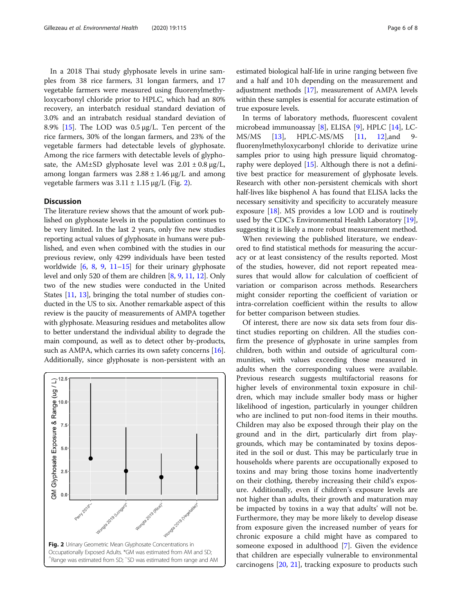In a 2018 Thai study glyphosate levels in urine samples from 38 rice farmers, 31 longan farmers, and 17 vegetable farmers were measured using fluorenylmethyloxycarbonyl chloride prior to HPLC, which had an 80% recovery, an interbatch residual standard deviation of 3.0% and an intrabatch residual standard deviation of 8.9% [\[15](#page-7-0)]. The LOD was 0.5 μg/L. Ten percent of the rice farmers, 30% of the longan farmers, and 23% of the vegetable farmers had detectable levels of glyphosate. Among the rice farmers with detectable levels of glyphosate, the AM $\pm$ SD glyphosate level was  $2.01 \pm 0.8$  μg/L, among longan farmers was  $2.88 \pm 1.46 \,\mu g/L$  and among vegetable farmers was  $3.11 \pm 1.15 \,\mu g/L$  (Fig. 2).

## **Discussion**

The literature review shows that the amount of work published on glyphosate levels in the population continues to be very limited. In the last 2 years, only five new studies reporting actual values of glyphosate in humans were published, and even when combined with the studies in our previous review, only 4299 individuals have been tested worldwide  $[6, 8, 9, 11-15]$  $[6, 8, 9, 11-15]$  $[6, 8, 9, 11-15]$  $[6, 8, 9, 11-15]$  $[6, 8, 9, 11-15]$  $[6, 8, 9, 11-15]$  $[6, 8, 9, 11-15]$  $[6, 8, 9, 11-15]$  $[6, 8, 9, 11-15]$  for their urinary glyphosate level and only 520 of them are children [[8](#page-6-0), [9](#page-6-0), [11](#page-7-0), [12\]](#page-7-0). Only two of the new studies were conducted in the United States [[11](#page-7-0), [13\]](#page-7-0), bringing the total number of studies conducted in the US to six. Another remarkable aspect of this review is the paucity of measurements of AMPA together with glyphosate. Measuring residues and metabolites allow to better understand the individual ability to degrade the main compound, as well as to detect other by-products, such as AMPA, which carries its own safety concerns [[16](#page-7-0)]. Additionally, since glyphosate is non-persistent with an



estimated biological half-life in urine ranging between five and a half and 10 h depending on the measurement and adjustment methods [\[17\]](#page-7-0), measurement of AMPA levels within these samples is essential for accurate estimation of true exposure levels.

In terms of laboratory methods, fluorescent covalent microbead immunoassay [[8\]](#page-6-0), ELISA [\[9](#page-6-0)], HPLC [\[14](#page-7-0)], LC-MS/MS [[13](#page-7-0)], HPLC-MS/MS [\[11](#page-7-0), [12\]](#page-7-0),and 9 fluorenylmethyloxycarbonyl chloride to derivatize urine samples prior to using high pressure liquid chromatography were deployed [\[15\]](#page-7-0). Although there is not a definitive best practice for measurement of glyphosate levels. Research with other non-persistent chemicals with short half-lives like bisphenol A has found that ELISA lacks the necessary sensitivity and specificity to accurately measure exposure [[18\]](#page-7-0). MS provides a low LOD and is routinely used by the CDC's Environmental Health Laboratory [[19](#page-7-0)], suggesting it is likely a more robust measurement method.

When reviewing the published literature, we endeavored to find statistical methods for measuring the accuracy or at least consistency of the results reported. Most of the studies, however, did not report repeated measures that would allow for calculation of coefficient of variation or comparison across methods. Researchers might consider reporting the coefficient of variation or intra-correlation coefficient within the results to allow for better comparison between studies.

Of interest, there are now six data sets from four distinct studies reporting on children. All the studies confirm the presence of glyphosate in urine samples from children, both within and outside of agricultural communities, with values exceeding those measured in adults when the corresponding values were available. Previous research suggests multifactorial reasons for higher levels of environmental toxin exposure in children, which may include smaller body mass or higher likelihood of ingestion, particularly in younger children who are inclined to put non-food items in their mouths. Children may also be exposed through their play on the ground and in the dirt, particularly dirt from playgrounds, which may be contaminated by toxins deposited in the soil or dust. This may be particularly true in households where parents are occupationally exposed to toxins and may bring those toxins home inadvertently on their clothing, thereby increasing their child's exposure. Additionally, even if children's exposure levels are not higher than adults, their growth and maturation may be impacted by toxins in a way that adults' will not be. Furthermore, they may be more likely to develop disease from exposure given the increased number of years for chronic exposure a child might have as compared to someone exposed in adulthood [\[7](#page-6-0)]. Given the evidence that children are especially vulnerable to environmental carcinogens [\[20](#page-7-0), [21](#page-7-0)], tracking exposure to products such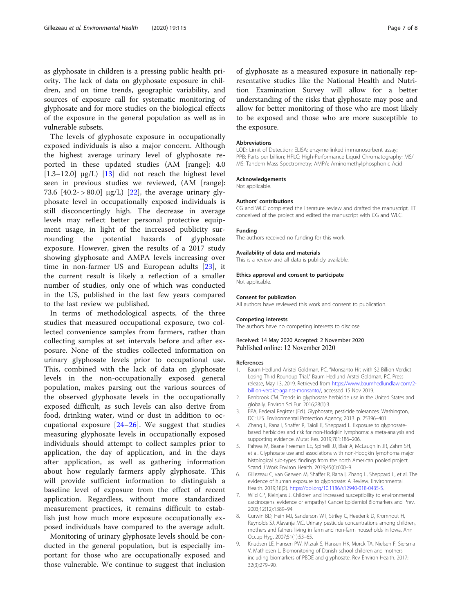<span id="page-6-0"></span>as glyphosate in children is a pressing public health priority. The lack of data on glyphosate exposure in children, and on time trends, geographic variability, and sources of exposure call for systematic monitoring of glyphosate and for more studies on the biological effects of the exposure in the general population as well as in vulnerable subsets.

The levels of glyphosate exposure in occupationally exposed individuals is also a major concern. Although the highest average urinary level of glyphosate reported in these updated studies (AM [range]: 4.0 [ $1.3-12.0$ ]  $\mu$ g/L) [ $13$ ] did not reach the highest level seen in previous studies we reviewed, (AM [range]: 73.6  $[40.2 - > 80.0]$  μg/L)  $[22]$  $[22]$ , the average urinary glyphosate level in occupationally exposed individuals is still disconcertingly high. The decrease in average levels may reflect better personal protective equipment usage, in light of the increased publicity surrounding the potential hazards of glyphosate exposure. However, given the results of a 2017 study showing glyphosate and AMPA levels increasing over time in non-farmer US and European adults [[23\]](#page-7-0), it the current result is likely a reflection of a smaller number of studies, only one of which was conducted in the US, published in the last few years compared to the last review we published.

In terms of methodological aspects, of the three studies that measured occupational exposure, two collected convenience samples from farmers, rather than collecting samples at set intervals before and after exposure. None of the studies collected information on urinary glyphosate levels prior to occupational use. This, combined with the lack of data on glyphosate levels in the non-occupationally exposed general population, makes parsing out the various sources of the observed glyphosate levels in the occupationally exposed difficult, as such levels can also derive from food, drinking water, wind or dust in addition to occupational exposure [\[24](#page-7-0)–[26](#page-7-0)]. We suggest that studies measuring glyphosate levels in occupationally exposed individuals should attempt to collect samples prior to application, the day of application, and in the days after application, as well as gathering information about how regularly farmers apply glyphosate. This will provide sufficient information to distinguish a baseline level of exposure from the effect of recent application. Regardless, without more standardized measurement practices, it remains difficult to establish just how much more exposure occupationally exposed individuals have compared to the average adult.

Monitoring of urinary glyphosate levels should be conducted in the general population, but is especially important for those who are occupationally exposed and those vulnerable. We continue to suggest that inclusion of glyphosate as a measured exposure in nationally representative studies like the National Health and Nutrition Examination Survey will allow for a better understanding of the risks that glyphosate may pose and allow for better monitoring of those who are most likely to be exposed and those who are more susceptible to the exposure.

#### Abbreviations

LOD: Limit of Detection; ELISA: enzyme-linked immunosorbent assay; PPB: Parts per billion; HPLC: High-Performance Liquid Chromatography; MS/ MS: Tandem Mass Spectrometry; AMPA: Aminomethylphosphonic Acid

#### Acknowledgements

Not applicable.

#### Authors' contributions

CG and WLC completed the literature review and drafted the manuscript. ET conceived of the project and edited the manuscript with CG and WLC.

## Funding

The authors received no funding for this work.

#### Availability of data and materials

This is a review and all data is publicly available.

## Ethics approval and consent to participate

Not applicable.

#### Consent for publication

All authors have reviewed this work and consent to publication.

#### Competing interests

The authors have no competing interests to disclose.

#### Received: 14 May 2020 Accepted: 2 November 2020 Published online: 12 November 2020

#### References

- 1. Baum Hedlund Aristei Goldman, PC. "Monsanto Hit with \$2 Billion Verdict Losing Third Roundup Trial." Baum Hedlund Arstei Goldman, PC. Press release, May 13, 2019. Retrieved from [https://www.baumhedlundlaw.com/2](https://www.baumhedlundlaw.com/2-billion-verdict-against-monsanto/) [billion-verdict-against-monsanto/](https://www.baumhedlundlaw.com/2-billion-verdict-against-monsanto/), accessed 15 Nov 2019.
- 2. Benbrook CM. Trends in glyphosate herbicide use in the United States and globally. Environ Sci Eur. 2016;28(1):3.
- 3. EPA, Federal Register (Ed.). Glyphosate; pesticide tolerances. Washington, DC: U.S. Environmental Protection Agency; 2013. p. 25396–401.
- 4. Zhang L, Rana I, Shaffer R, Taioli E, Sheppard L. Exposure to glyphosatebased herbicides and risk for non-Hodgkin lymphoma: a meta-analysis and supporting evidence. Mutat Res. 2019;781:186–206.
- 5. Pahwa M, Beane Freeman LE, Spinelli JJ, Blair A, McLaughlin JR, Zahm SH, et al. Glyphosate use and associations with non-Hodgkin lymphoma major histological sub-types: findings from the north American pooled project. Scand J Work Environ Health. 2019;45(6):600–9.
- 6. Gillezeau C, van Gerwen M, Shaffer R, Rana I, Zhang L, Sheppard L, et al. The evidence of human exposure to glyphosate: A Review. Environmental Health. 2019;18(2). <https://doi.org/10.1186/s12940-018-0435-5>.
- 7. Wild CP, Kleinjans J. Children and increased susceptibility to environmental carcinogens: evidence or empathy? Cancer Epidemiol Biomarkers and Prev. 2003;12(12):1389–94.
- Curwin BD, Hein MJ, Sanderson WT, Striley C, Heederik D, Kromhout H, Reynolds SJ, Alavanja MC. Urinary pesticide concentrations among children, mothers and fathers living in farm and non-farm households in Iowa. Ann Occup Hyg. 2007;51(1):53–65.
- 9. Knudsen LE, Hansen PW, Mizrak S, Hansen HK, Morck TA, Nielsen F, Siersma V, Mathiesen L. Biomonitoring of Danish school children and mothers including biomarkers of PBDE and glyphosate. Rev Environ Health. 2017; 32(3):279–90.